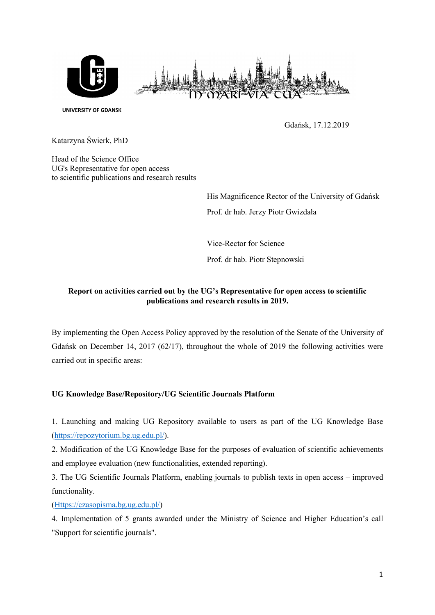

UNIVERSITY OF GDANSK

Gdańsk, 17.12.2019

Katarzyna Świerk, PhD

Head of the Science Office UG's Representative for open access to scientific publications and research results

> His Magnificence Rector of the University of Gdańsk Prof. dr hab. Jerzy Piotr Gwizdała

 Vice-Rector for Science Prof. dr hab. Piotr Stepnowski

# Report on activities carried out by the UG's Representative for open access to scientific publications and research results in 2019.

By implementing the Open Access Policy approved by the resolution of the Senate of the University of Gdańsk on December 14, 2017 (62/17), throughout the whole of 2019 the following activities were carried out in specific areas:

## UG Knowledge Base/Repository/UG Scientific Journals Platform

1. Launching and making UG Repository available to users as part of the UG Knowledge Base (https://repozytorium.bg.ug.edu.pl/).

2. Modification of the UG Knowledge Base for the purposes of evaluation of scientific achievements and employee evaluation (new functionalities, extended reporting).

3. The UG Scientific Journals Platform, enabling journals to publish texts in open access – improved functionality.

(Https://czasopisma.bg.ug.edu.pl/)

4. Implementation of 5 grants awarded under the Ministry of Science and Higher Education's call "Support for scientific journals".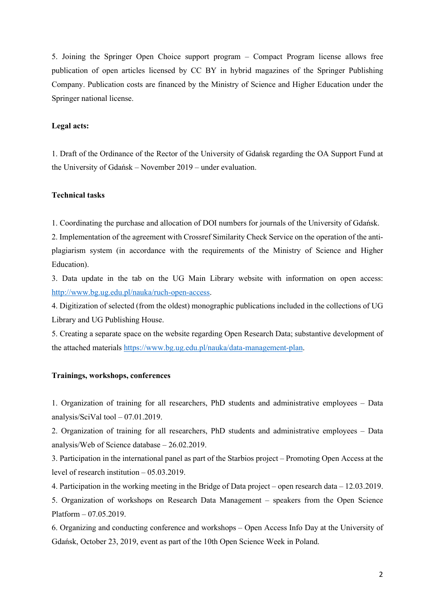5. Joining the Springer Open Choice support program – Compact Program license allows free publication of open articles licensed by CC BY in hybrid magazines of the Springer Publishing Company. Publication costs are financed by the Ministry of Science and Higher Education under the Springer national license.

#### Legal acts:

1. Draft of the Ordinance of the Rector of the University of Gdańsk regarding the OA Support Fund at the University of Gdańsk – November 2019 – under evaluation.

#### Technical tasks

1. Coordinating the purchase and allocation of DOI numbers for journals of the University of Gdańsk.

2. Implementation of the agreement with Crossref Similarity Check Service on the operation of the antiplagiarism system (in accordance with the requirements of the Ministry of Science and Higher Education).

3. Data update in the tab on the UG Main Library website with information on open access: http://www.bg.ug.edu.pl/nauka/ruch-open-access.

4. Digitization of selected (from the oldest) monographic publications included in the collections of UG Library and UG Publishing House.

5. Creating a separate space on the website regarding Open Research Data; substantive development of the attached materials https://www.bg.ug.edu.pl/nauka/data-management-plan.

#### Trainings, workshops, conferences

1. Organization of training for all researchers, PhD students and administrative employees – Data analysis/SciVal tool – 07.01.2019.

2. Organization of training for all researchers, PhD students and administrative employees – Data analysis/Web of Science database – 26.02.2019.

3. Participation in the international panel as part of the Starbios project – Promoting Open Access at the level of research institution – 05.03.2019.

4. Participation in the working meeting in the Bridge of Data project – open research data – 12.03.2019.

5. Organization of workshops on Research Data Management – speakers from the Open Science Platform – 07.05.2019.

6. Organizing and conducting conference and workshops – Open Access Info Day at the University of Gdańsk, October 23, 2019, event as part of the 10th Open Science Week in Poland.